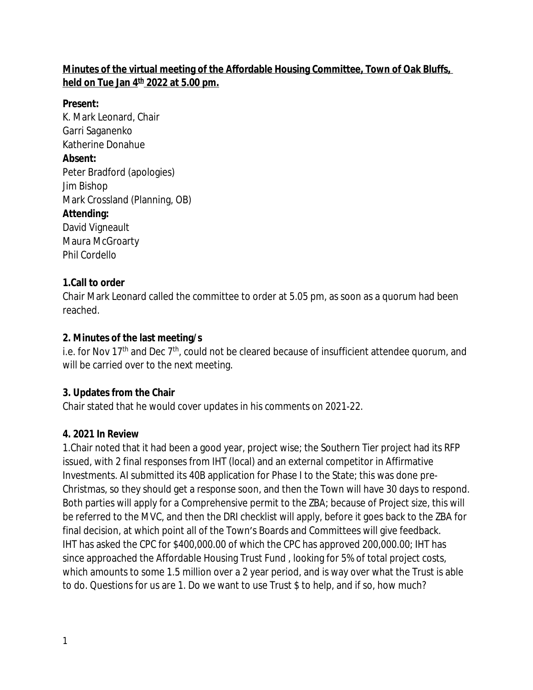#### **Minutes of the virtual meeting of the Affordable Housing Committee, Town of Oak Bluffs, held on Tue Jan 4th 2022 at 5.00 pm.**

#### **Present:**

K. Mark Leonard, Chair Garri Saganenko Katherine Donahue **Absent:** Peter Bradford (apologies) Jim Bishop Mark Crossland (Planning, OB) **Attending:** David Vigneault Maura McGroarty Phil Cordello

# **1.Call to order**

Chair Mark Leonard called the committee to order at 5.05 pm, as soon as a quorum had been reached.

# **2. Minutes of the last meeting/s**

i.e. for Nov  $17<sup>th</sup>$  and Dec  $7<sup>th</sup>$ , could not be cleared because of insufficient attendee quorum, and will be carried over to the next meeting.

# **3. Updates from the Chair**

Chair stated that he would cover updates in his comments on 2021-22.

# **4. 2021 In Review**

1.Chair noted that it had been a good year, project wise; the Southern Tier project had its RFP issued, with 2 final responses from IHT (local) and an external competitor in Affirmative Investments. AI submitted its 40B application for Phase I to the State; this was done pre-Christmas, so they should get a response soon, and then the Town will have 30 days to respond. Both parties will apply for a Comprehensive permit to the ZBA; because of Project size, this will be referred to the MVC, and then the DRI checklist will apply, before it goes back to the ZBA for final decision, at which point all of the Town's Boards and Committees will give feedback. IHT has asked the CPC for \$400,000.00 of which the CPC has approved 200,000.00; IHT has since approached the Affordable Housing Trust Fund , looking for 5% of total project costs, which amounts to some 1.5 million over a 2 year period, and is way over what the Trust is able to do. Questions for us are 1. Do we want to use Trust \$ to help, and if so, how much?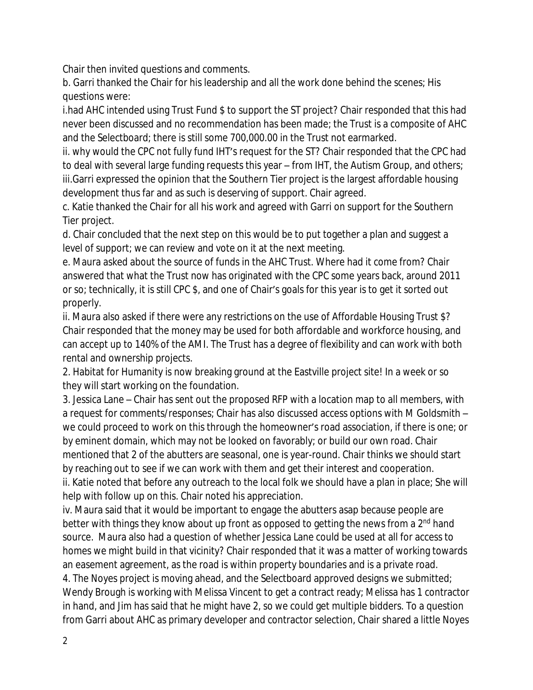Chair then invited questions and comments.

b. Garri thanked the Chair for his leadership and all the work done behind the scenes; His questions were:

i.had AHC intended using Trust Fund \$ to support the ST project? Chair responded that this had never been discussed and no recommendation has been made; the Trust is a composite of AHC and the Selectboard; there is still some 700,000.00 in the Trust not earmarked.

ii. why would the CPC not fully fund IHT's request for the ST? Chair responded that the CPC had to deal with several large funding requests this year – from IHT, the Autism Group, and others; iii.Garri expressed the opinion that the Southern Tier project is the largest affordable housing development thus far and as such is deserving of support. Chair agreed.

c. Katie thanked the Chair for all his work and agreed with Garri on support for the Southern Tier project.

d. Chair concluded that the next step on this would be to put together a plan and suggest a level of support; we can review and vote on it at the next meeting.

e. Maura asked about the source of funds in the AHC Trust. Where had it come from? Chair answered that what the Trust now has originated with the CPC some years back, around 2011 or so; technically, it is still CPC \$, and one of Chair's goals for this year is to get it sorted out properly.

ii. Maura also asked if there were any restrictions on the use of Affordable Housing Trust \$? Chair responded that the money may be used for both affordable and workforce housing, and can accept up to 140% of the AMI. The Trust has a degree of flexibility and can work with both rental and ownership projects.

2. Habitat for Humanity is now breaking ground at the Eastville project site! In a week or so they will start working on the foundation.

3. Jessica Lane – Chair has sent out the proposed RFP with a location map to all members, with a request for comments/responses; Chair has also discussed access options with M Goldsmith – we could proceed to work on this through the homeowner's road association, if there is one; or by eminent domain, which may not be looked on favorably; or build our own road. Chair mentioned that 2 of the abutters are seasonal, one is year-round. Chair thinks we should start by reaching out to see if we can work with them and get their interest and cooperation.

ii. Katie noted that before any outreach to the local folk we should have a plan in place; She will help with follow up on this. Chair noted his appreciation.

iv. Maura said that it would be important to engage the abutters asap because people are better with things they know about up front as opposed to getting the news from a 2<sup>nd</sup> hand source. Maura also had a question of whether Jessica Lane could be used at all for access to homes we might build in that vicinity? Chair responded that it was a matter of working towards an easement agreement, as the road is within property boundaries and is a private road.

4. The Noyes project is moving ahead, and the Selectboard approved designs we submitted; Wendy Brough is working with Melissa Vincent to get a contract ready; Melissa has 1 contractor in hand, and Jim has said that he might have 2, so we could get multiple bidders. To a question from Garri about AHC as primary developer and contractor selection, Chair shared a little Noyes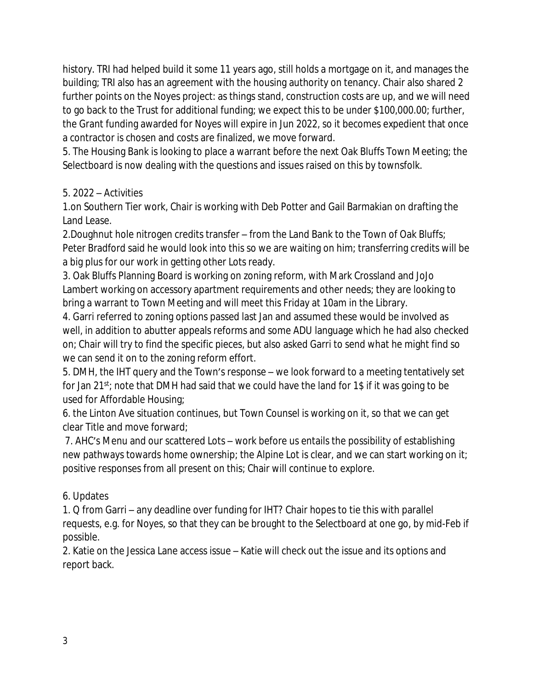history. TRI had helped build it some 11 years ago, still holds a mortgage on it, and manages the building; TRI also has an agreement with the housing authority on tenancy. Chair also shared 2 further points on the Noyes project: as things stand, construction costs are up, and we will need to go back to the Trust for additional funding; we expect this to be under \$100,000.00; further, the Grant funding awarded for Noyes will expire in Jun 2022, so it becomes expedient that once a contractor is chosen and costs are finalized, we move forward.

5. The Housing Bank is looking to place a warrant before the next Oak Bluffs Town Meeting; the Selectboard is now dealing with the questions and issues raised on this by townsfolk.

# 5. 2022 – Activities

1.on Southern Tier work, Chair is working with Deb Potter and Gail Barmakian on drafting the Land Lease.

2.Doughnut hole nitrogen credits transfer – from the Land Bank to the Town of Oak Bluffs; Peter Bradford said he would look into this so we are waiting on him; transferring credits will be a big plus for our work in getting other Lots ready.

3. Oak Bluffs Planning Board is working on zoning reform, with Mark Crossland and JoJo Lambert working on accessory apartment requirements and other needs; they are looking to bring a warrant to Town Meeting and will meet this Friday at 10am in the Library.

4. Garri referred to zoning options passed last Jan and assumed these would be involved as well, in addition to abutter appeals reforms and some ADU language which he had also checked on; Chair will try to find the specific pieces, but also asked Garri to send what he might find so we can send it on to the zoning reform effort.

5. DMH, the IHT query and the Town's response – we look forward to a meeting tentatively set for Jan 21 $st$ ; note that DMH had said that we could have the land for 1\$ if it was going to be used for Affordable Housing;

6. the Linton Ave situation continues, but Town Counsel is working on it, so that we can get clear Title and move forward;

7. AHC's Menu and our scattered Lots – work before us entails the possibility of establishing new pathways towards home ownership; the Alpine Lot is clear, and we can start working on it; positive responses from all present on this; Chair will continue to explore.

# 6. Updates

1. Q from Garri – any deadline over funding for IHT? Chair hopes to tie this with parallel requests, e.g. for Noyes, so that they can be brought to the Selectboard at one go, by mid-Feb if possible.

2. Katie on the Jessica Lane access issue – Katie will check out the issue and its options and report back.